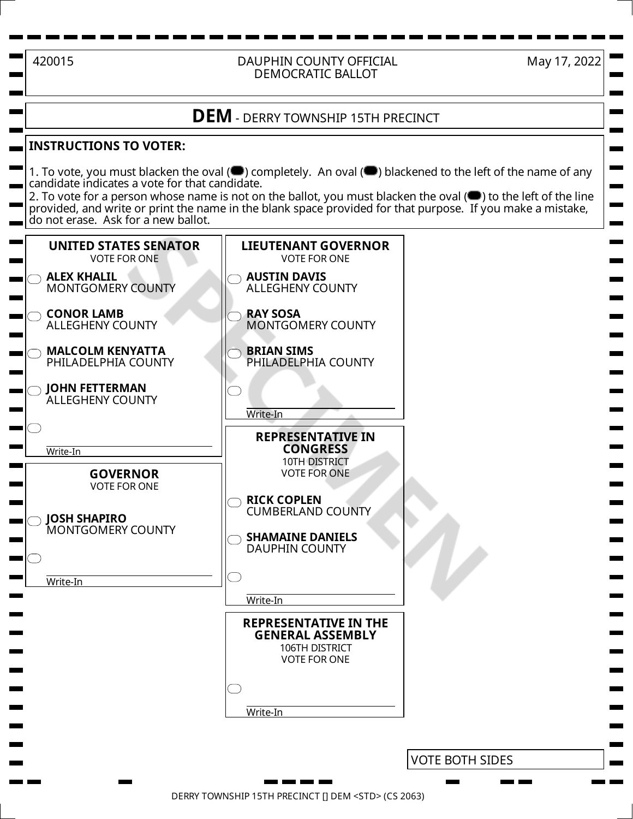## 420015 DAUPHIN COUNTY OFFICIAL DEMOCRATIC BALLOT

## **DEM** - DERRY TOWNSHIP 15TH PRECINCT

## **INSTRUCTIONS TO VOTER:**

1. To vote, you must blacken the oval (<sup>1</sup>) completely. An oval (<sup>2</sup>) blackened to the left of the name of any candidate indicates a vote for that candidate.

2. To vote for a person whose name is not on the ballot, you must blacken the oval  $($ **•**) to the left of the line provided, and write or print the name in the blank space provided for that purpose. If you make a mistake, do not erase. Ask for a new ballot.



VOTE BOTH SIDES